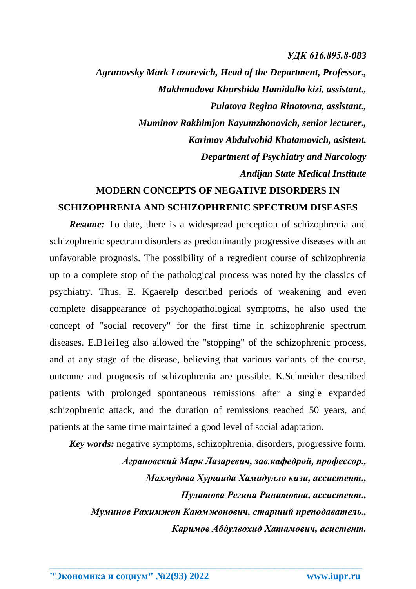## *УДК 616.895.8-083*

*Agranovsky Mark Lazarevich, Head of the Department, Professor., Makhmudova Khurshida Hamidullo kizi, assistant., Pulatova Regina Rinatovna, assistant., Muminov Rakhimjon Kayumzhonovich, senior lecturer., Karimov Abdulvohid Khatamovich, asistent. Department of Psychiatry and Narcology Andijan State Medical Institute*

## **MODERN CONCEPTS OF NEGATIVE DISORDERS IN SCHIZOPHRENIA AND SCHIZOPHRENIC SPECTRUM DISEASES**

*Resume:* To date, there is a widespread perception of schizophrenia and schizophrenic spectrum disorders as predominantly progressive diseases with an unfavorable prognosis. The possibility of a regredient course of schizophrenia up to a complete stop of the pathological process was noted by the classics of psychiatry. Thus, E. KgaereIp described periods of weakening and even complete disappearance of psychopathological symptoms, he also used the concept of "social recovery" for the first time in schizophrenic spectrum diseases. E.B1ei1eg also allowed the "stopping" of the schizophrenic process, and at any stage of the disease, believing that various variants of the course, outcome and prognosis of schizophrenia are possible. K.Schneider described patients with prolonged spontaneous remissions after a single expanded schizophrenic attack, and the duration of remissions reached 50 years, and patients at the same time maintained a good level of social adaptation.

*Key words:* negative symptoms, schizophrenia, disorders, progressive form. *Аграновский Марк Лазаревич, зав.кафедрой, профессор., Махмудова Хуршида Хамидулло кизи, ассистент., Пулатова Регина Ринатовна, ассистент., Муминов Рахимжон Каюмжонович, старший преподаватель., Каримов Абдулвохид Хатамович, асистент.*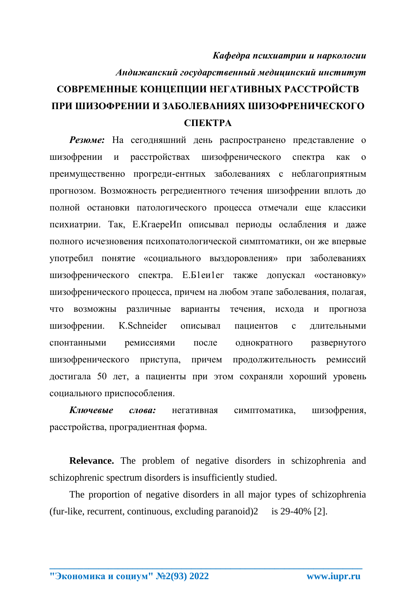## *Кафедра психиатрии и наркологии Андижанский государственный медицинский институт* **СОВРЕМЕННЫЕ КОНЦЕПЦИИ НЕГАТИВНЫХ РАССТРОЙСТВ ПРИ ШИЗОФРЕНИИ И ЗАБОЛЕВАНИЯХ ШИЗОФРЕНИЧЕСКОГО СПЕКТРА**

**Резюме:** На сегодняшний день распространено представление о шизофрении и расстройствах шизофренического спектра как о преимущественно прогреди-ентных заболеваниях с неблагоприятным прогнозом. Возможность регредиентного течения шизофрении вплоть до полной остановки патологического процесса отмечали еще классики психиатрии. Так, Е.КгаереИп описывал периоды ослабления и даже полного исчезновения психопатологической симптоматики, он же впервые употребил понятие «социального выздоровления» при заболеваниях шизофренического спектра. Е.Б1еи1ег также допускал «остановку» шизофренического процесса, причем на любом этапе заболевания, полагая, что возможны различные варианты течения, исхода и прогноза шизофрении. К.Schneider описывал пациентов с длительными спонтанными ремиссиями после однократного развернутого шизофренического приступа, причем продолжительность ремиссий достигала 50 лет, а пациенты при этом сохраняли хороший уровень социального приспособления.

*Ключевые слова:* негативная симптоматика, шизофрения, расстройства, проградиентная форма.

**Relevance.** The problem of negative disorders in schizophrenia and schizophrenic spectrum disorders is insufficiently studied.

The proportion of negative disorders in all major types of schizophrenia (fur-like, recurrent, continuous, excluding paranoid)2 is 29-40% [2].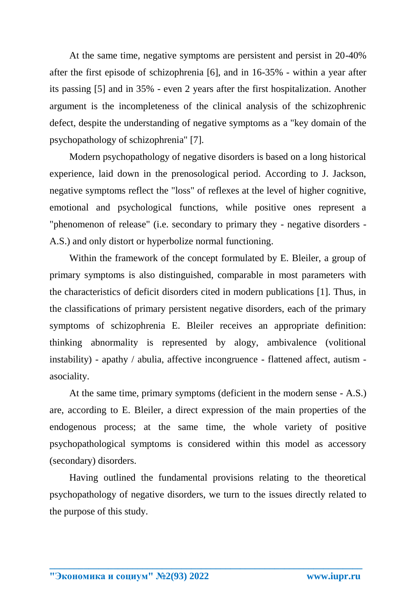At the same time, negative symptoms are persistent and persist in 20-40% after the first episode of schizophrenia [6], and in 16-35% - within a year after its passing [5] and in 35% - even 2 years after the first hospitalization. Another argument is the incompleteness of the clinical analysis of the schizophrenic defect, despite the understanding of negative symptoms as a "key domain of the psychopathology of schizophrenia" [7].

Modern psychopathology of negative disorders is based on a long historical experience, laid down in the prenosological period. According to J. Jackson, negative symptoms reflect the "loss" of reflexes at the level of higher cognitive, emotional and psychological functions, while positive ones represent a "phenomenon of release" (i.e. secondary to primary they - negative disorders - A.S.) and only distort or hyperbolize normal functioning.

Within the framework of the concept formulated by E. Bleiler, a group of primary symptoms is also distinguished, comparable in most parameters with the characteristics of deficit disorders cited in modern publications [1]. Thus, in the classifications of primary persistent negative disorders, each of the primary symptoms of schizophrenia E. Bleiler receives an appropriate definition: thinking abnormality is represented by alogy, ambivalence (volitional instability) - apathy / abulia, affective incongruence - flattened affect, autism asociality.

At the same time, primary symptoms (deficient in the modern sense - A.S.) are, according to E. Bleiler, a direct expression of the main properties of the endogenous process; at the same time, the whole variety of positive psychopathological symptoms is considered within this model as accessory (secondary) disorders.

Having outlined the fundamental provisions relating to the theoretical psychopathology of negative disorders, we turn to the issues directly related to the purpose of this study.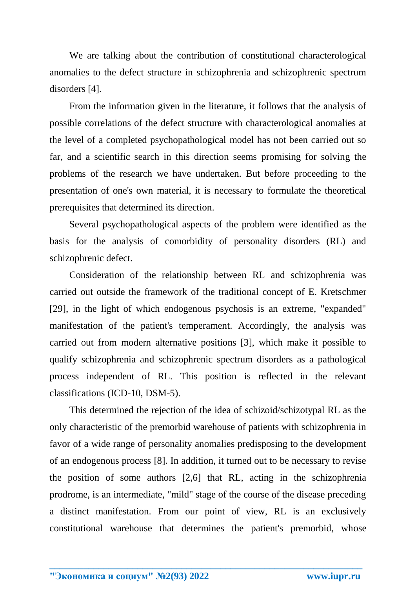We are talking about the contribution of constitutional characterological anomalies to the defect structure in schizophrenia and schizophrenic spectrum disorders [4].

From the information given in the literature, it follows that the analysis of possible correlations of the defect structure with characterological anomalies at the level of a completed psychopathological model has not been carried out so far, and a scientific search in this direction seems promising for solving the problems of the research we have undertaken. But before proceeding to the presentation of one's own material, it is necessary to formulate the theoretical prerequisites that determined its direction.

Several psychopathological aspects of the problem were identified as the basis for the analysis of comorbidity of personality disorders (RL) and schizophrenic defect.

Consideration of the relationship between RL and schizophrenia was carried out outside the framework of the traditional concept of E. Kretschmer [29], in the light of which endogenous psychosis is an extreme, "expanded" manifestation of the patient's temperament. Accordingly, the analysis was carried out from modern alternative positions [3], which make it possible to qualify schizophrenia and schizophrenic spectrum disorders as a pathological process independent of RL. This position is reflected in the relevant classifications (ICD-10, DSM-5).

This determined the rejection of the idea of schizoid/schizotypal RL as the only characteristic of the premorbid warehouse of patients with schizophrenia in favor of a wide range of personality anomalies predisposing to the development of an endogenous process [8]. In addition, it turned out to be necessary to revise the position of some authors [2,6] that RL, acting in the schizophrenia prodrome, is an intermediate, "mild" stage of the course of the disease preceding a distinct manifestation. From our point of view, RL is an exclusively constitutional warehouse that determines the patient's premorbid, whose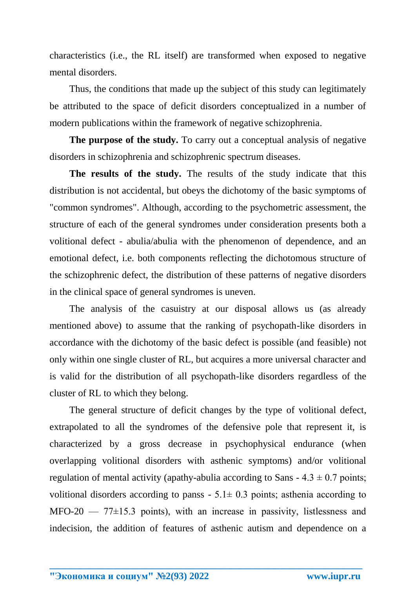characteristics (i.e., the RL itself) are transformed when exposed to negative mental disorders.

Thus, the conditions that made up the subject of this study can legitimately be attributed to the space of deficit disorders conceptualized in a number of modern publications within the framework of negative schizophrenia.

**The purpose of the study.** To carry out a conceptual analysis of negative disorders in schizophrenia and schizophrenic spectrum diseases.

**The results of the study.** The results of the study indicate that this distribution is not accidental, but obeys the dichotomy of the basic symptoms of "common syndromes". Although, according to the psychometric assessment, the structure of each of the general syndromes under consideration presents both a volitional defect - abulia/abulia with the phenomenon of dependence, and an emotional defect, i.e. both components reflecting the dichotomous structure of the schizophrenic defect, the distribution of these patterns of negative disorders in the clinical space of general syndromes is uneven.

The analysis of the casuistry at our disposal allows us (as already mentioned above) to assume that the ranking of psychopath-like disorders in accordance with the dichotomy of the basic defect is possible (and feasible) not only within one single cluster of RL, but acquires a more universal character and is valid for the distribution of all psychopath-like disorders regardless of the cluster of RL to which they belong.

The general structure of deficit changes by the type of volitional defect, extrapolated to all the syndromes of the defensive pole that represent it, is characterized by a gross decrease in psychophysical endurance (when overlapping volitional disorders with asthenic symptoms) and/or volitional regulation of mental activity (apathy-abulia according to Sans  $-4.3 \pm 0.7$  points; volitional disorders according to panss  $-5.1 \pm 0.3$  points; asthenia according to  $MFO-20$  — 77 $\pm$ 15.3 points), with an increase in passivity, listlessness and indecision, the addition of features of asthenic autism and dependence on a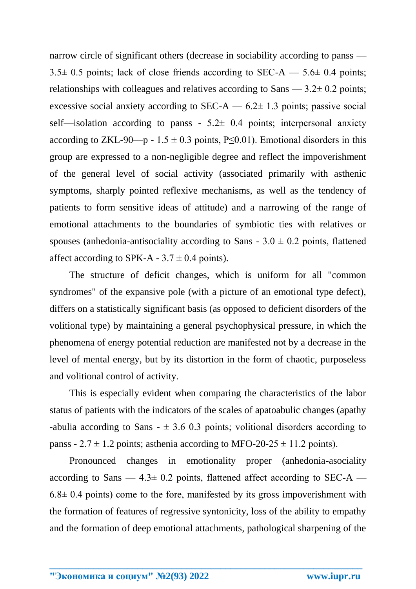narrow circle of significant others (decrease in sociability according to panss —  $3.5\pm 0.5$  points; lack of close friends according to SEC-A — 5.6 $\pm$  0.4 points; relationships with colleagues and relatives according to Sans  $-3.2\pm 0.2$  points; excessive social anxiety according to  $SEC-A - 6.2 \pm 1.3$  points; passive social self—isolation according to panss -  $5.2\pm$  0.4 points; interpersonal anxiety according to ZKL-90—p - 1.5  $\pm$  0.3 points, P $\leq$ 0.01). Emotional disorders in this group are expressed to a non-negligible degree and reflect the impoverishment of the general level of social activity (associated primarily with asthenic symptoms, sharply pointed reflexive mechanisms, as well as the tendency of patients to form sensitive ideas of attitude) and a narrowing of the range of emotional attachments to the boundaries of symbiotic ties with relatives or spouses (anhedonia-antisociality according to Sans -  $3.0 \pm 0.2$  points, flattened affect according to SPK-A -  $3.7 \pm 0.4$  points).

The structure of deficit changes, which is uniform for all "common syndromes" of the expansive pole (with a picture of an emotional type defect), differs on a statistically significant basis (as opposed to deficient disorders of the volitional type) by maintaining a general psychophysical pressure, in which the phenomena of energy potential reduction are manifested not by a decrease in the level of mental energy, but by its distortion in the form of chaotic, purposeless and volitional control of activity.

This is especially evident when comparing the characteristics of the labor status of patients with the indicators of the scales of apatoabulic changes (apathy -abulia according to Sans  $- \pm 3.6$  0.3 points; volitional disorders according to panss - 2.7  $\pm$  1.2 points; asthenia according to MFO-20-25  $\pm$  11.2 points).

Pronounced changes in emotionality proper (anhedonia-asociality according to Sans —  $4.3 \pm 0.2$  points, flattened affect according to SEC-A —  $6.8 \pm 0.4$  points) come to the fore, manifested by its gross impoverishment with the formation of features of regressive syntonicity, loss of the ability to empathy and the formation of deep emotional attachments, pathological sharpening of the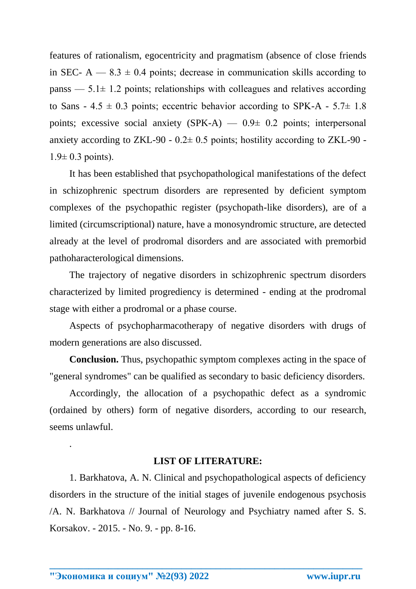features of rationalism, egocentricity and pragmatism (absence of close friends in SEC-  $A = 8.3 \pm 0.4$  points; decrease in communication skills according to panss  $-5.1\pm 1.2$  points; relationships with colleagues and relatives according to Sans -  $4.5 \pm 0.3$  points; eccentric behavior according to SPK-A -  $5.7 \pm 1.8$ points; excessive social anxiety  $(SPK-A)$  — 0.9 $\pm$  0.2 points; interpersonal anxiety according to ZKL-90 -  $0.2 \pm 0.5$  points; hostility according to ZKL-90 - $1.9 \pm 0.3$  points).

It has been established that psychopathological manifestations of the defect in schizophrenic spectrum disorders are represented by deficient symptom complexes of the psychopathic register (psychopath-like disorders), are of a limited (circumscriptional) nature, have a monosyndromic structure, are detected already at the level of prodromal disorders and are associated with premorbid pathoharacterological dimensions.

The trajectory of negative disorders in schizophrenic spectrum disorders characterized by limited progrediency is determined - ending at the prodromal stage with either a prodromal or a phase course.

Aspects of psychopharmacotherapy of negative disorders with drugs of modern generations are also discussed.

**Conclusion.** Thus, psychopathic symptom complexes acting in the space of "general syndromes" can be qualified as secondary to basic deficiency disorders.

Accordingly, the allocation of a psychopathic defect as a syndromic (ordained by others) form of negative disorders, according to our research, seems unlawful.

## **LIST OF LITERATURE:**

1. Barkhatova, A. N. Clinical and psychopathological aspects of deficiency disorders in the structure of the initial stages of juvenile endogenous psychosis /A. N. Barkhatova // Journal of Neurology and Psychiatry named after S. S. Korsakov. - 2015. - No. 9. - pp. 8-16.

**\_\_\_\_\_\_\_\_\_\_\_\_\_\_\_\_\_\_\_\_\_\_\_\_\_\_\_\_\_\_\_\_\_\_\_\_\_\_\_\_\_\_\_\_\_\_\_\_\_\_\_\_\_\_\_\_\_\_\_\_\_\_\_\_**

.